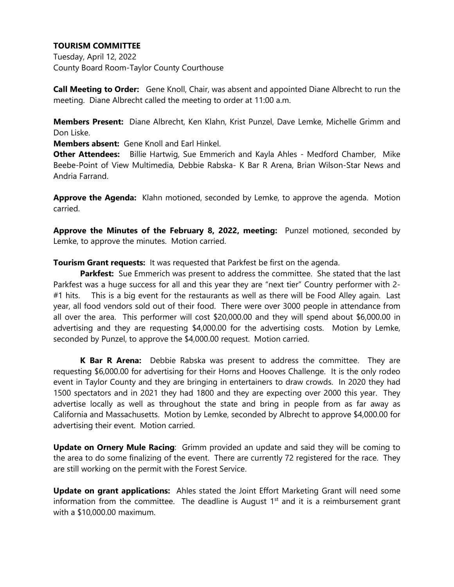## **TOURISM COMMITTEE**

Tuesday, April 12, 2022 County Board Room-Taylor County Courthouse

**Call Meeting to Order:** Gene Knoll, Chair, was absent and appointed Diane Albrecht to run the meeting. Diane Albrecht called the meeting to order at 11:00 a.m.

**Members Present:** Diane Albrecht, Ken Klahn, Krist Punzel, Dave Lemke, Michelle Grimm and Don Liske.

**Members absent:** Gene Knoll and Earl Hinkel.

**Other Attendees:** Billie Hartwig, Sue Emmerich and Kayla Ahles - Medford Chamber, Mike Beebe-Point of View Multimedia, Debbie Rabska- K Bar R Arena, Brian Wilson-Star News and Andria Farrand.

**Approve the Agenda:** Klahn motioned, seconded by Lemke, to approve the agenda. Motion carried.

**Approve the Minutes of the February 8, 2022, meeting:** Punzel motioned, seconded by Lemke, to approve the minutes. Motion carried.

**Tourism Grant requests:** It was requested that Parkfest be first on the agenda.

**Parkfest:** Sue Emmerich was present to address the committee. She stated that the last Parkfest was a huge success for all and this year they are "next tier" Country performer with 2- #1 hits. This is a big event for the restaurants as well as there will be Food Alley again. Last year, all food vendors sold out of their food. There were over 3000 people in attendance from all over the area. This performer will cost \$20,000.00 and they will spend about \$6,000.00 in advertising and they are requesting \$4,000.00 for the advertising costs. Motion by Lemke, seconded by Punzel, to approve the \$4,000.00 request. Motion carried.

**K Bar R Arena:** Debbie Rabska was present to address the committee. They are requesting \$6,000.00 for advertising for their Horns and Hooves Challenge. It is the only rodeo event in Taylor County and they are bringing in entertainers to draw crowds. In 2020 they had 1500 spectators and in 2021 they had 1800 and they are expecting over 2000 this year. They advertise locally as well as throughout the state and bring in people from as far away as California and Massachusetts. Motion by Lemke, seconded by Albrecht to approve \$4,000.00 for advertising their event. Motion carried.

**Update on Ornery Mule Racing**: Grimm provided an update and said they will be coming to the area to do some finalizing of the event. There are currently 72 registered for the race. They are still working on the permit with the Forest Service.

**Update on grant applications:** Ahles stated the Joint Effort Marketing Grant will need some information from the committee. The deadline is August  $1<sup>st</sup>$  and it is a reimbursement grant with a \$10,000.00 maximum.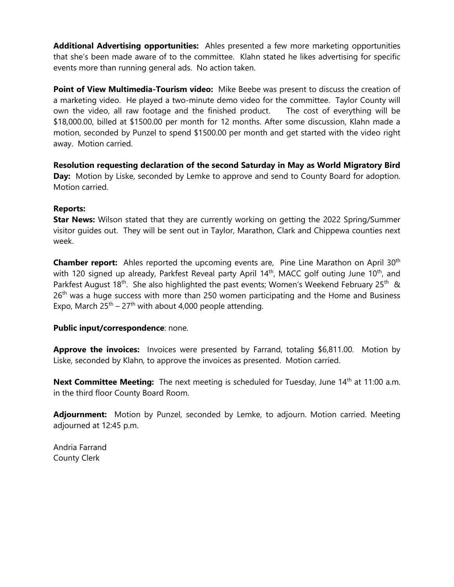**Additional Advertising opportunities:** Ahles presented a few more marketing opportunities that she's been made aware of to the committee. Klahn stated he likes advertising for specific events more than running general ads. No action taken.

**Point of View Multimedia-Tourism video:** Mike Beebe was present to discuss the creation of a marketing video. He played a two-minute demo video for the committee. Taylor County will own the video, all raw footage and the finished product. The cost of everything will be \$18,000.00, billed at \$1500.00 per month for 12 months. After some discussion, Klahn made a motion, seconded by Punzel to spend \$1500.00 per month and get started with the video right away. Motion carried.

**Resolution requesting declaration of the second Saturday in May as World Migratory Bird Day:** Motion by Liske, seconded by Lemke to approve and send to County Board for adoption. Motion carried.

### **Reports:**

**Star News:** Wilson stated that they are currently working on getting the 2022 Spring/Summer visitor guides out. They will be sent out in Taylor, Marathon, Clark and Chippewa counties next week.

**Chamber report:** Ahles reported the upcoming events are, Pine Line Marathon on April 30<sup>th</sup> with 120 signed up already, Parkfest Reveal party April 14<sup>th</sup>, MACC golf outing June 10<sup>th</sup>, and Parkfest August 18<sup>th</sup>. She also highlighted the past events; Women's Weekend February 25<sup>th</sup> &  $26<sup>th</sup>$  was a huge success with more than 250 women participating and the Home and Business Expo, March  $25<sup>th</sup> - 27<sup>th</sup>$  with about 4,000 people attending.

### **Public input/correspondence**: none.

**Approve the invoices:** Invoices were presented by Farrand, totaling \$6,811.00. Motion by Liske, seconded by Klahn, to approve the invoices as presented. Motion carried.

**Next Committee Meeting:** The next meeting is scheduled for Tuesday, June 14<sup>th</sup> at 11:00 a.m. in the third floor County Board Room.

**Adjournment:** Motion by Punzel, seconded by Lemke, to adjourn. Motion carried. Meeting adjourned at 12:45 p.m.

Andria Farrand County Clerk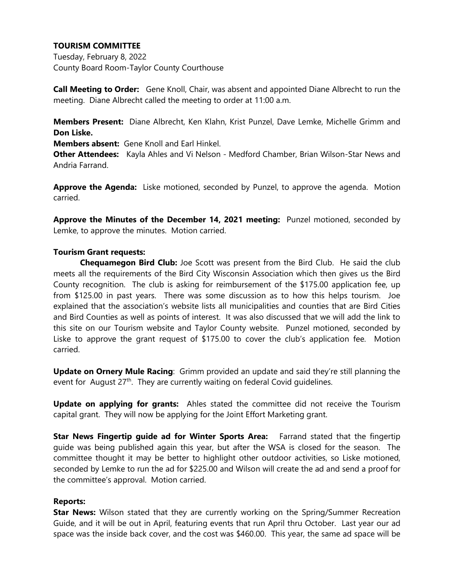# **TOURISM COMMITTEE**

Tuesday, February 8, 2022 County Board Room-Taylor County Courthouse

**Call Meeting to Order:** Gene Knoll, Chair, was absent and appointed Diane Albrecht to run the meeting. Diane Albrecht called the meeting to order at 11:00 a.m.

**Members Present:** Diane Albrecht, Ken Klahn, Krist Punzel, Dave Lemke, Michelle Grimm and **Don Liske.**

**Members absent:** Gene Knoll and Earl Hinkel.

**Other Attendees:** Kayla Ahles and Vi Nelson - Medford Chamber, Brian Wilson-Star News and Andria Farrand.

**Approve the Agenda:** Liske motioned, seconded by Punzel, to approve the agenda. Motion carried.

**Approve the Minutes of the December 14, 2021 meeting:** Punzel motioned, seconded by Lemke, to approve the minutes. Motion carried.

### **Tourism Grant requests:**

**Chequamegon Bird Club:** Joe Scott was present from the Bird Club. He said the club meets all the requirements of the Bird City Wisconsin Association which then gives us the Bird County recognition. The club is asking for reimbursement of the \$175.00 application fee, up from \$125.00 in past years. There was some discussion as to how this helps tourism. Joe explained that the association's website lists all municipalities and counties that are Bird Cities and Bird Counties as well as points of interest. It was also discussed that we will add the link to this site on our Tourism website and Taylor County website. Punzel motioned, seconded by Liske to approve the grant request of \$175.00 to cover the club's application fee. Motion carried.

**Update on Ornery Mule Racing**: Grimm provided an update and said they're still planning the event for August 27<sup>th</sup>. They are currently waiting on federal Covid guidelines.

**Update on applying for grants:** Ahles stated the committee did not receive the Tourism capital grant. They will now be applying for the Joint Effort Marketing grant.

**Star News Fingertip guide ad for Winter Sports Area:** Farrand stated that the fingertip guide was being published again this year, but after the WSA is closed for the season. The committee thought it may be better to highlight other outdoor activities, so Liske motioned, seconded by Lemke to run the ad for \$225.00 and Wilson will create the ad and send a proof for the committee's approval. Motion carried.

### **Reports:**

**Star News:** Wilson stated that they are currently working on the Spring/Summer Recreation Guide, and it will be out in April, featuring events that run April thru October. Last year our ad space was the inside back cover, and the cost was \$460.00. This year, the same ad space will be